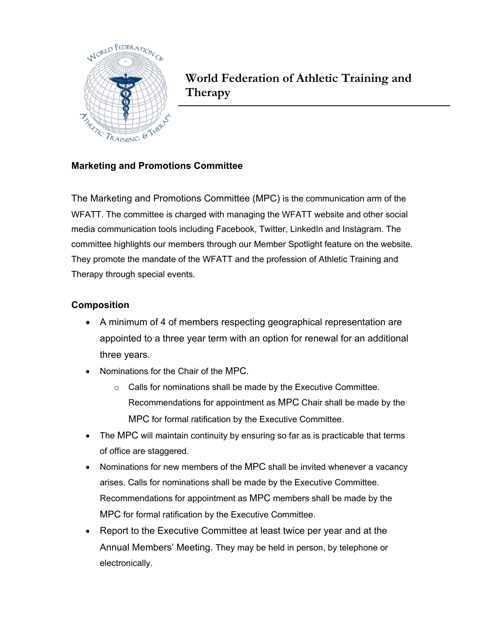

**World Federation of Athletic Training and Therapy**

## **Marketing and Promotions Committee**

The Marketing and Promotions Committee (MPC) is the communication arm of the WFATT. The committee is charged with managing the WFATT website and other social media communication tools including Facebook, Twitter, LinkedIn and Instagram. The committee highlights our members through our Member Spotlight feature on the website. They promote the mandate of the WFATT and the profession of Athletic Training and Therapy through special events.

## **Composition**

- A minimum of 4 of members respecting geographical representation are appointed to a three year term with an option for renewal for an additional three years.
- Nominations for the Chair of the MPC.
	- o Calls for nominations shall be made by the Executive Committee. Recommendations for appointment as MPC Chair shall be made by the MPC for formal ratification by the Executive Committee.
- The MPC will maintain continuity by ensuring so far as is practicable that terms of office are staggered.
- Nominations for new members of the MPC shall be invited whenever a vacancy arises. Calls for nominations shall be made by the Executive Committee. Recommendations for appointment as MPC members shall be made by the MPC for formal ratification by the Executive Committee.
- Report to the Executive Committee at least twice per year and at the Annual Members' Meeting. They may be held in person, by telephone or electronically.